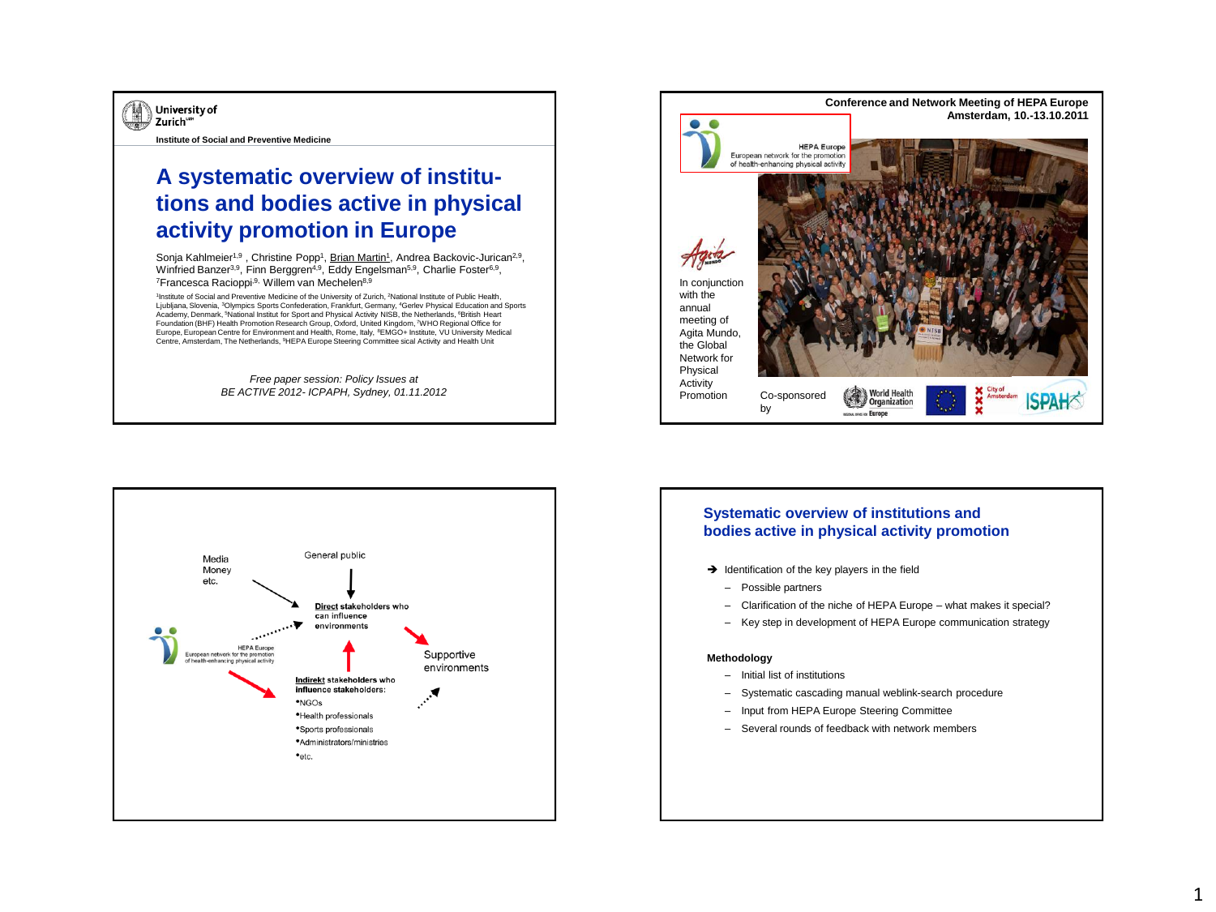

**Institute of Social and Preventive Medicine**

# **A systematic overview of institutions and bodies active in physical activity promotion in Europe**

Sonja Kahlmeier<sup>1,9</sup>, Christine Popp<sup>1</sup>, Brian Martin<sup>1</sup>, Andrea Backovic-Jurican<sup>2,9</sup>, Winfried Banzer<sup>3,9</sup>, Finn Berggren<sup>4,9</sup>, Eddy Engelsman<sup>5,9</sup>, Charlie Foster<sup>6,9</sup>, <sup>7</sup>Francesca Racioppi,<sup>9,</sup> Willem van Mechelen<sup>8,9</sup>

<sup>1</sup>Institute of Social and Preventive Medicine of the University of Zurich, ?National Institute of Public Health,<br>Ljubljana, Slovenia, <sup>3</sup>Olympics Sports Confederation, Frankfurt, Germany, <sup>4</sup>Gerlev Physical Education and Academy, Denmark, <sup>5</sup>National Institut for Sport and Physical Activity NISB, the Netherlands, <sup>6</sup>British Heart Foundation (BHF) Health Promotion Research Group, Oxford, United Kingdom, <sup>7</sup>WHO Regional Office for Europe, European Centre for Environment and Health, Rome, Italy, <sup>8</sup>EMGO+ Institute, VU University Medical Centre, Amsterdam, The Netherlands, <sup>9</sup>HEPA Europe Steering Committee sical Activity and Health Unit

> *Free paper session: Policy Issues at BE ACTIVE 2012- ICPAPH, Sydney, 01.11.2012*





# **Systematic overview of institutions and bodies active in physical activity promotion**

- $\rightarrow$  Identification of the key players in the field
	- Possible partners
	- Clarification of the niche of HEPA Europe what makes it special?
	- Key step in development of HEPA Europe communication strategy

### **Methodology**

- Initial list of institutions
- Systematic cascading manual weblink-search procedure
- Input from HEPA Europe Steering Committee
- Several rounds of feedback with network members